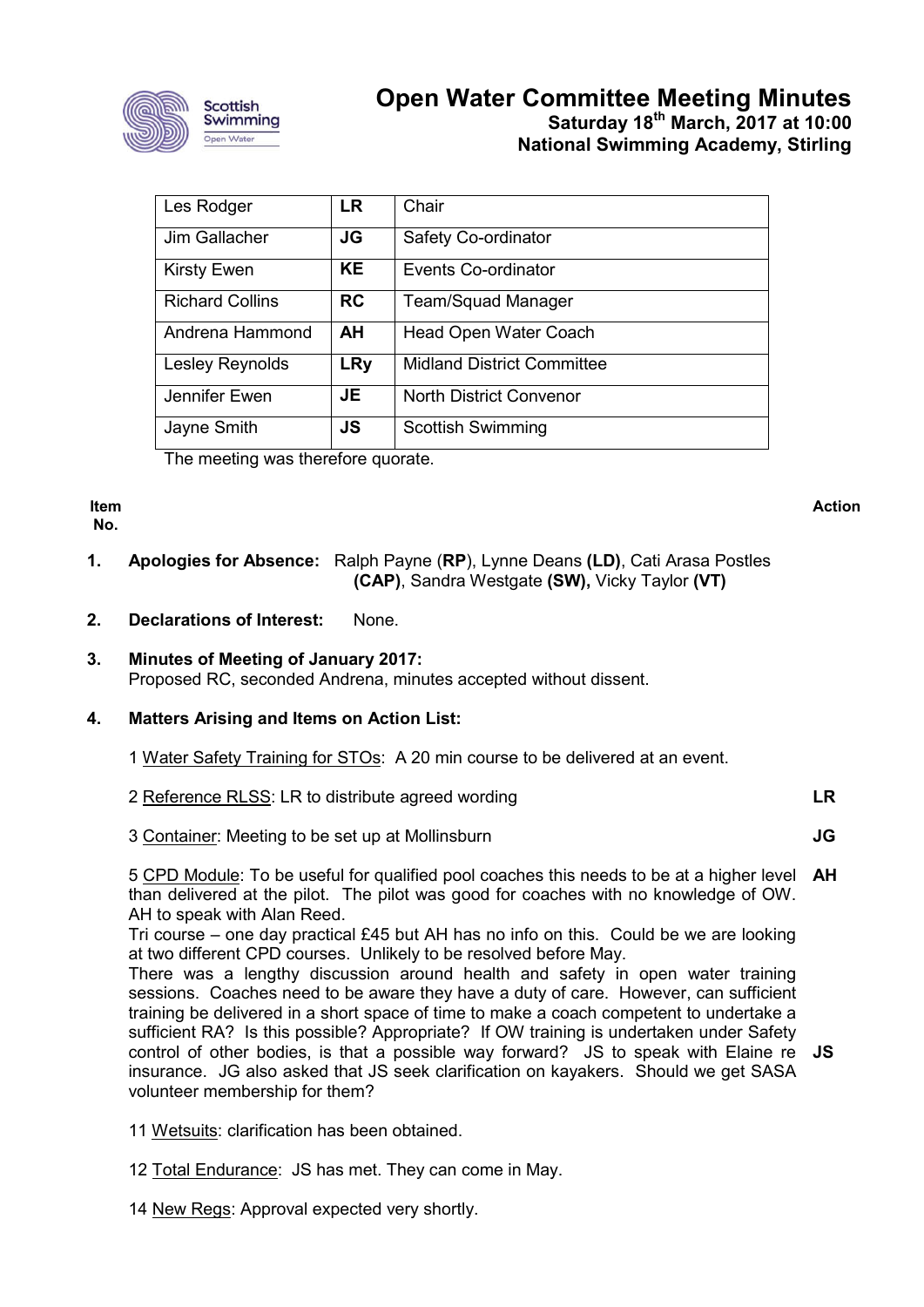

# **Open Water Committee Meeting Minutes Saturday 18th March, 2017 at 10:00 National Swimming Academy, Stirling**

| Les Rodger             | <b>LR</b>  | Chair                             |
|------------------------|------------|-----------------------------------|
| Jim Gallacher          | JG         | Safety Co-ordinator               |
| <b>Kirsty Ewen</b>     | <b>KE</b>  | Events Co-ordinator               |
| <b>Richard Collins</b> | <b>RC</b>  | <b>Team/Squad Manager</b>         |
| Andrena Hammond        | AH.        | <b>Head Open Water Coach</b>      |
| Lesley Reynolds        | <b>LRy</b> | <b>Midland District Committee</b> |
| Jennifer Ewen          | JE         | <b>North District Convenor</b>    |
| Jayne Smith            | <b>JS</b>  | <b>Scottish Swimming</b>          |

The meeting was therefore quorate.

**Item No.**

**Action**

**JG**

- **1. Apologies for Absence:** Ralph Payne (**RP**), Lynne Deans **(LD)**, Cati Arasa Postles **(CAP)**, Sandra Westgate **(SW),** Vicky Taylor **(VT)**
- **2. Declarations of Interest:** None.

# **3. Minutes of Meeting of January 2017:** Proposed RC, seconded Andrena, minutes accepted without dissent.

# **4. Matters Arising and Items on Action List:**

| 1 Water Safety Training for STOs: A 20 min course to be delivered at an event. |
|--------------------------------------------------------------------------------|
|--------------------------------------------------------------------------------|

| 2 Reference RLSS: LR to distribute agreed wording |  |
|---------------------------------------------------|--|
|                                                   |  |

3 Container: Meeting to be set up at Mollinsburn

5 CPD Module: To be useful for qualified pool coaches this needs to be at a higher level than delivered at the pilot. The pilot was good for coaches with no knowledge of OW. AH to speak with Alan Reed. **AH**

Tri course – one day practical £45 but AH has no info on this. Could be we are looking at two different CPD courses. Unlikely to be resolved before May.

There was a lengthy discussion around health and safety in open water training sessions. Coaches need to be aware they have a duty of care. However, can sufficient training be delivered in a short space of time to make a coach competent to undertake a sufficient RA? Is this possible? Appropriate? If OW training is undertaken under Safety control of other bodies, is that a possible way forward? JS to speak with Elaine re **JS**insurance. JG also asked that JS seek clarification on kayakers. Should we get SASA volunteer membership for them?

- 11 Wetsuits: clarification has been obtained.
- 12 Total Endurance: JS has met. They can come in May.
- 14 New Regs: Approval expected very shortly.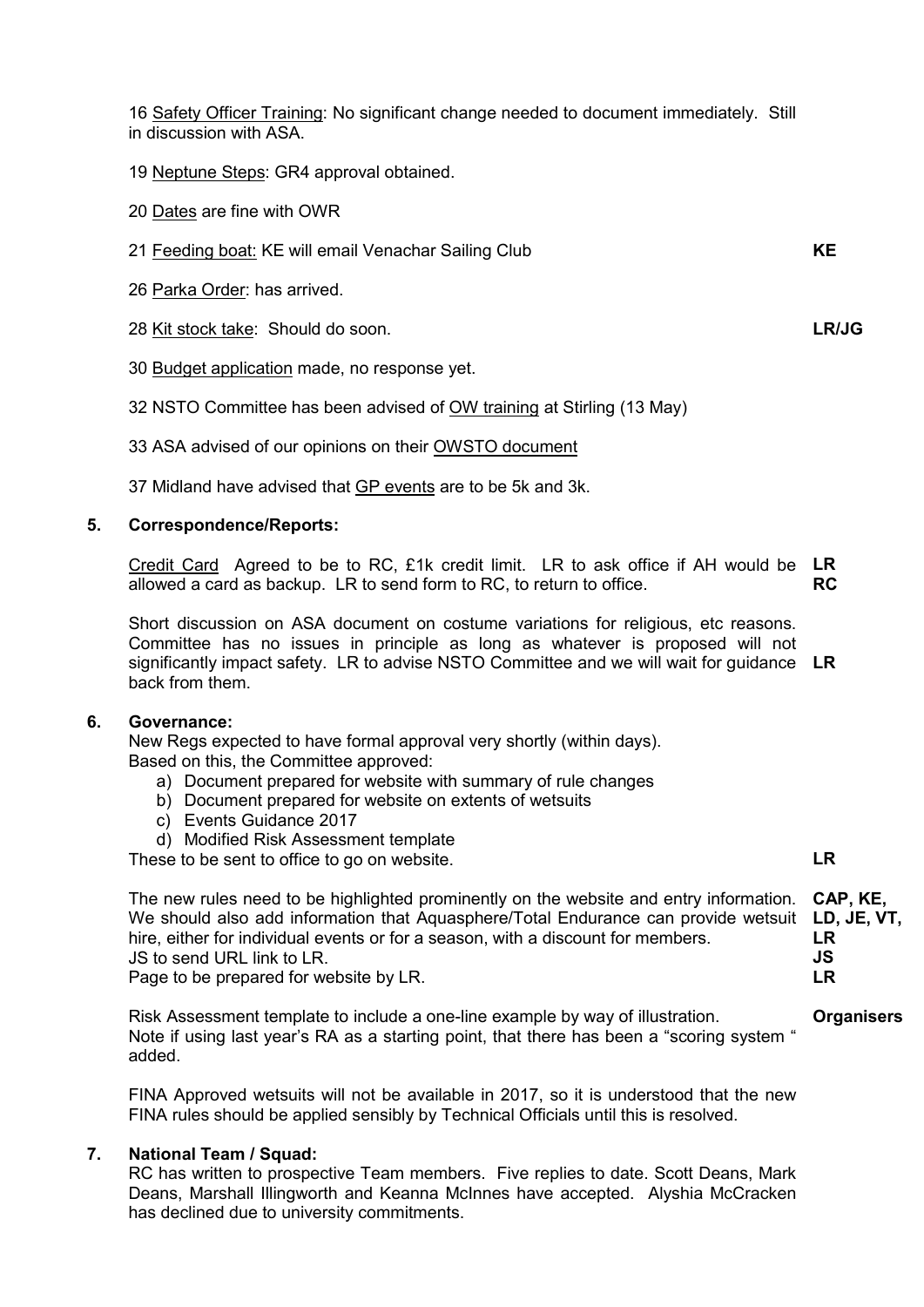16 Safety Officer Training: No significant change needed to document immediately. Still in discussion with ASA.

- 19 Neptune Steps: GR4 approval obtained.
- 20 Dates are fine with OWR
- 21 Feeding boat: KE will email Venachar Sailing Club
- 26 Parka Order: has arrived.
- 28 Kit stock take: Should do soon.
- 30 Budget application made, no response yet.
- 32 NSTO Committee has been advised of OW training at Stirling (13 May)
- 33 ASA advised of our opinions on their OWSTO document

37 Midland have advised that GP events are to be 5k and 3k.

### **5. Correspondence/Reports:**

Credit Card Agreed to be to RC, £1k credit limit. LR to ask office if AH would be **LR** allowed a card as backup. LR to send form to RC, to return to office. **RC**

Short discussion on ASA document on costume variations for religious, etc reasons. Committee has no issues in principle as long as whatever is proposed will not significantly impact safety. LR to advise NSTO Committee and we will wait for guidance **LR** back from them.

### **6. Governance:**

New Regs expected to have formal approval very shortly (within days). Based on this, the Committee approved:

- a) Document prepared for website with summary of rule changes
- b) Document prepared for website on extents of wetsuits
- c) Events Guidance 2017
- d) Modified Risk Assessment template

These to be sent to office to go on website.

The new rules need to be highlighted prominently on the website and entry information. We should also add information that Aquasphere/Total Endurance can provide wetsuit hire, either for individual events or for a season, with a discount for members. JS to send URL link to LR. **CAP, KE, LD, JE, VT, LR JS LR**

Page to be prepared for website by LR.

Risk Assessment template to include a one-line example by way of illustration. Note if using last year's RA as a starting point, that there has been a "scoring system " added.

FINA Approved wetsuits will not be available in 2017, so it is understood that the new FINA rules should be applied sensibly by Technical Officials until this is resolved.

### **7. National Team / Squad:**

RC has written to prospective Team members. Five replies to date. Scott Deans, Mark Deans, Marshall Illingworth and Keanna McInnes have accepted. Alyshia McCracken has declined due to university commitments.

**KE**

**LR/JG**

**LR**

**Organisers**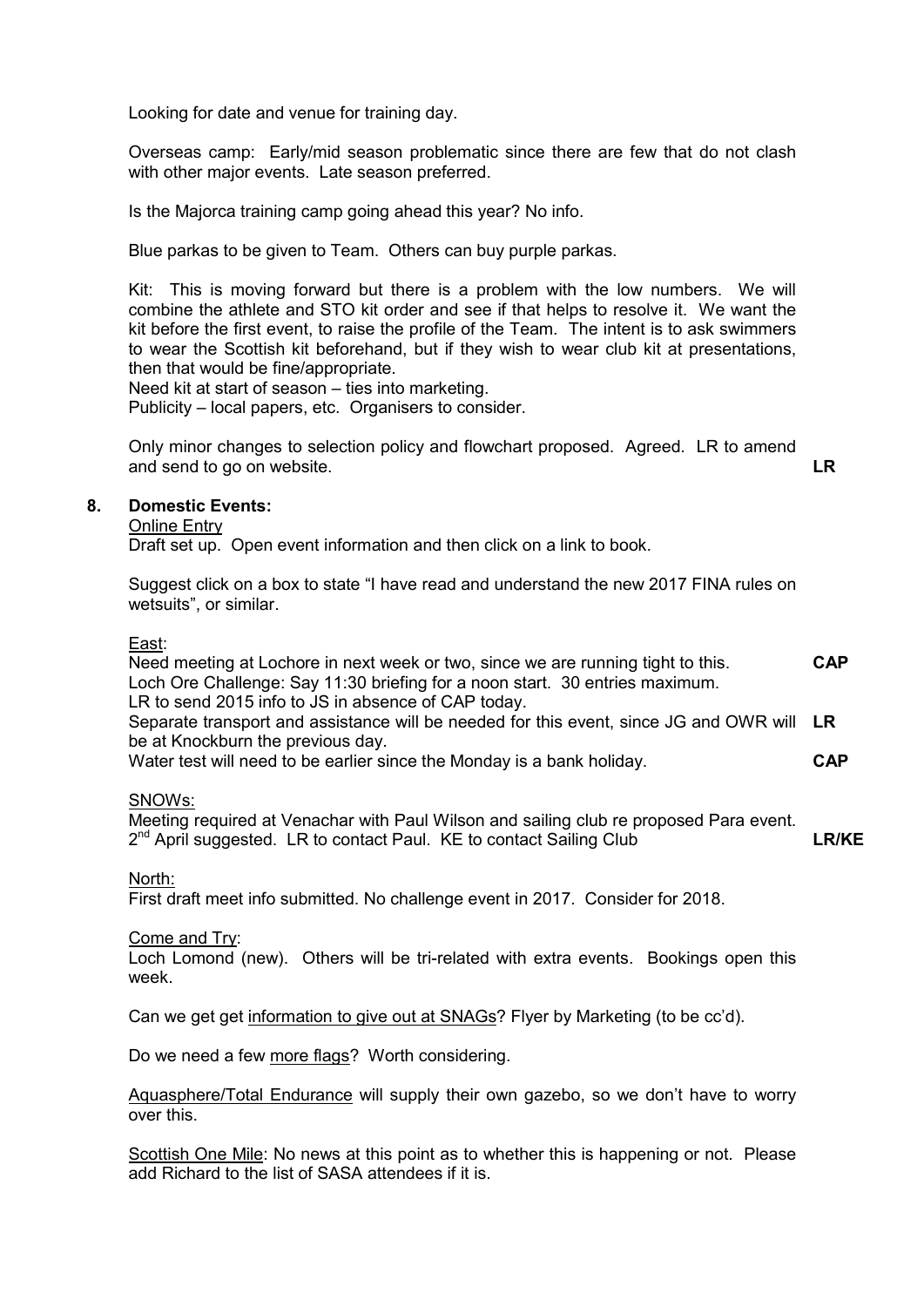Looking for date and venue for training day.

Overseas camp: Early/mid season problematic since there are few that do not clash with other major events. Late season preferred.

Is the Majorca training camp going ahead this year? No info.

Blue parkas to be given to Team. Others can buy purple parkas.

Kit: This is moving forward but there is a problem with the low numbers. We will combine the athlete and STO kit order and see if that helps to resolve it. We want the kit before the first event, to raise the profile of the Team. The intent is to ask swimmers to wear the Scottish kit beforehand, but if they wish to wear club kit at presentations, then that would be fine/appropriate.

Need kit at start of season – ties into marketing.

Publicity – local papers, etc. Organisers to consider.

Only minor changes to selection policy and flowchart proposed. Agreed. LR to amend and send to go on website. **LR**

### **8. Domestic Events:**

Online Entry

Draft set up. Open event information and then click on a link to book.

Suggest click on a box to state "I have read and understand the new 2017 FINA rules on wetsuits", or similar.

East:

| Need meeting at Lochore in next week or two, since we are running tight to this.          | <b>CAP</b> |
|-------------------------------------------------------------------------------------------|------------|
| Loch Ore Challenge: Say 11:30 briefing for a noon start. 30 entries maximum.              |            |
| LR to send 2015 info to JS in absence of CAP today.                                       |            |
| Separate transport and assistance will be needed for this event, since JG and OWR will LR |            |
| be at Knockburn the previous day.                                                         |            |
| Water test will need to be earlier since the Monday is a bank holiday.                    | <b>CAP</b> |
|                                                                                           |            |

### SNOWs:

Meeting required at Venachar with Paul Wilson and sailing club re proposed Para event.  $2<sup>nd</sup>$  April suggested. LR to contact Paul. KE to contact Sailing Club **LR/KE**

North:

First draft meet info submitted. No challenge event in 2017. Consider for 2018.

#### Come and Try:

Loch Lomond (new). Others will be tri-related with extra events. Bookings open this week.

Can we get get information to give out at SNAGs? Flyer by Marketing (to be cc'd).

Do we need a few more flags? Worth considering.

Aquasphere/Total Endurance will supply their own gazebo, so we don't have to worry over this.

Scottish One Mile: No news at this point as to whether this is happening or not. Please add Richard to the list of SASA attendees if it is.